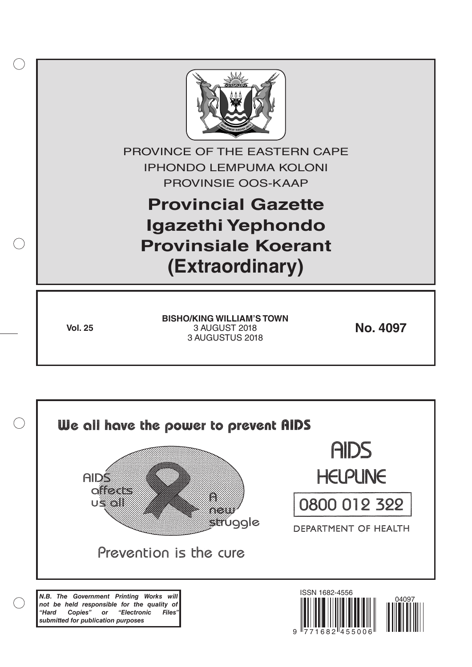

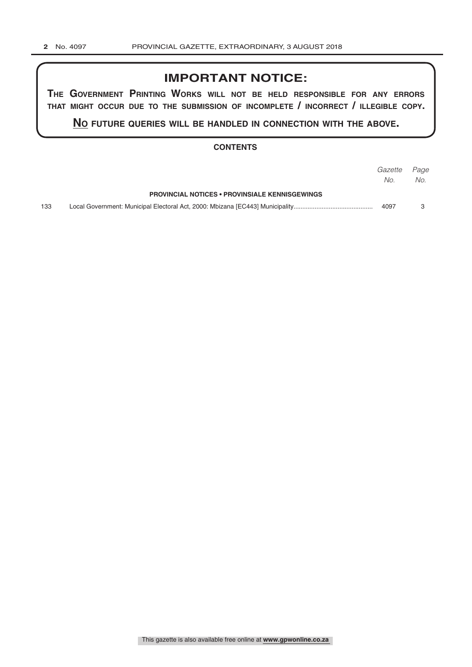# **IMPORTANT NOTICE:**

**The GovernmenT PrinTinG Works Will noT be held resPonsible for any errors ThaT miGhT occur due To The submission of incomPleTe / incorrecT / illeGible coPy.**

**no fuTure queries Will be handled in connecTion WiTh The above.**

### **CONTENTS**

|     |                                                       | <i>Gazette Page</i> |     |
|-----|-------------------------------------------------------|---------------------|-----|
|     |                                                       | No.                 | No. |
|     | <b>PROVINCIAL NOTICES • PROVINSIALE KENNISGEWINGS</b> |                     |     |
| 133 |                                                       | 4097                |     |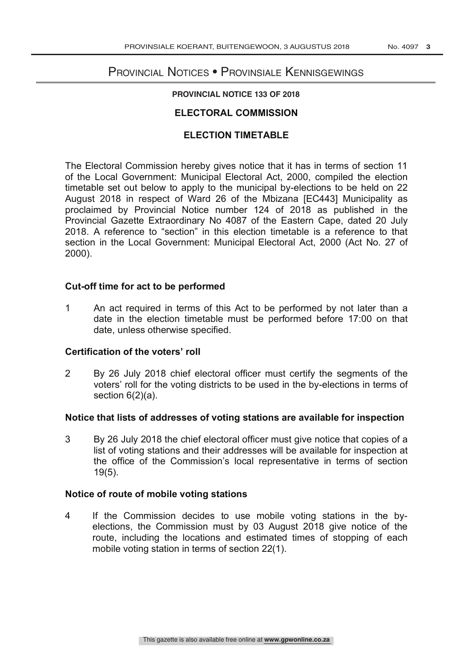## Provincial Notices • Provinsiale Kennisgewings

## **PROVINCIAL NOTICE 133 OF 2018**

## **ELECTORAL COMMISSION**

## **ELECTION TIMETABLE**

The Electoral Commission hereby gives notice that it has in terms of section 11 of the Local Government: Municipal Electoral Act, 2000, compiled the election timetable set out below to apply to the municipal by-elections to be held on 22 August 2018 in respect of Ward 26 of the Mbizana [EC443] Municipality as proclaimed by Provincial Notice number 124 of 2018 as published in the Provincial Gazette Extraordinary No 4087 of the Eastern Cape, dated 20 July 2018. A reference to "section" in this election timetable is a reference to that section in the Local Government: Municipal Electoral Act, 2000 (Act No. 27 of 2000).

## **Cut-off time for act to be performed**

1 An act required in terms of this Act to be performed by not later than a date in the election timetable must be performed before 17:00 on that date, unless otherwise specified.

## **Certification of the voters' roll**

2 By 26 July 2018 chief electoral officer must certify the segments of the voters' roll for the voting districts to be used in the by-elections in terms of section 6(2)(a).

### **Notice that lists of addresses of voting stations are available for inspection**

3 By 26 July 2018 the chief electoral officer must give notice that copies of a list of voting stations and their addresses will be available for inspection at the office of the Commission's local representative in terms of section 19(5).

## **Notice of route of mobile voting stations**

4 If the Commission decides to use mobile voting stations in the byelections, the Commission must by 03 August 2018 give notice of the route, including the locations and estimated times of stopping of each mobile voting station in terms of section 22(1).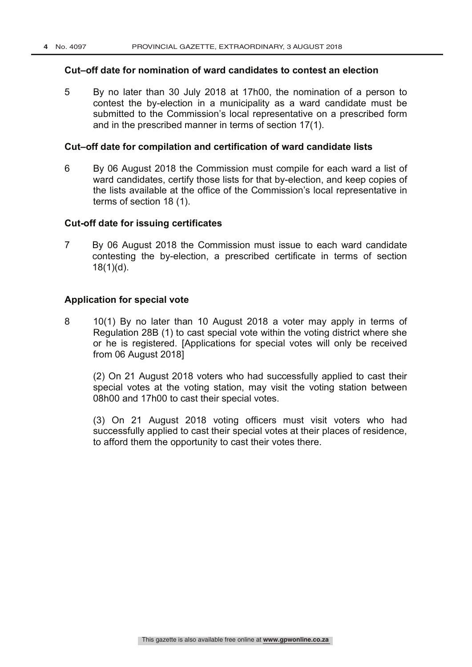### **Cut–off date for nomination of ward candidates to contest an election**

5 By no later than 30 July 2018 at 17h00, the nomination of a person to contest the by-election in a municipality as a ward candidate must be submitted to the Commission's local representative on a prescribed form and in the prescribed manner in terms of section 17(1).

#### **Cut–off date for compilation and certification of ward candidate lists**

6 By 06 August 2018 the Commission must compile for each ward a list of ward candidates, certify those lists for that by-election, and keep copies of the lists available at the office of the Commission's local representative in terms of section 18 (1).

#### **Cut-off date for issuing certificates**

7 By 06 August 2018 the Commission must issue to each ward candidate contesting the by-election, a prescribed certificate in terms of section  $18(1)(d)$ .

#### **Application for special vote**

8 10(1) By no later than 10 August 2018 a voter may apply in terms of Regulation 28B (1) to cast special vote within the voting district where she or he is registered. [Applications for special votes will only be received from 06 August 2018]

(2) On 21 August 2018 voters who had successfully applied to cast their special votes at the voting station, may visit the voting station between 08h00 and 17h00 to cast their special votes.

(3) On 21 August 2018 voting officers must visit voters who had successfully applied to cast their special votes at their places of residence, to afford them the opportunity to cast their votes there.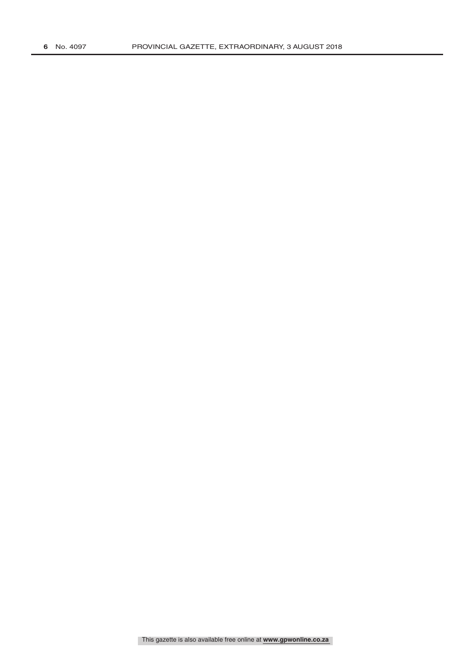This gazette is also available free online at **www.gpwonline.co.za**